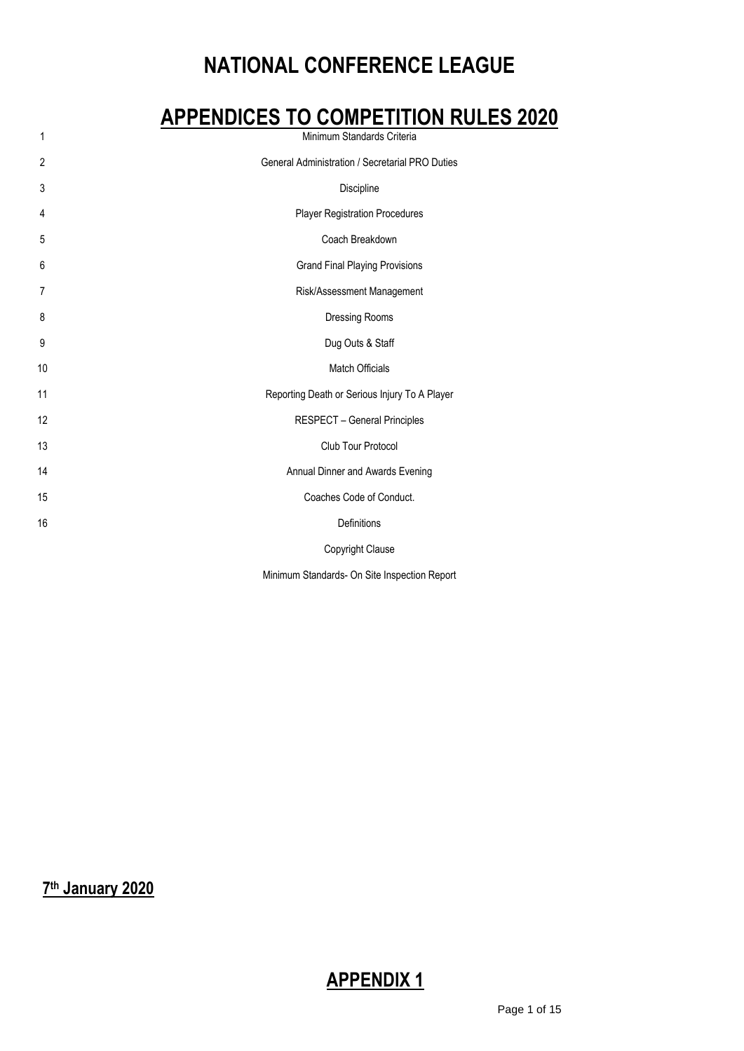# **NATIONAL CONFERENCE LEAGUE**

# **APPENDICES TO COMPETITION RULES 2020**

| Minimum Standards Criteria                      |  |
|-------------------------------------------------|--|
| General Administration / Secretarial PRO Duties |  |
| Discipline                                      |  |
| <b>Player Registration Procedures</b>           |  |
| Coach Breakdown                                 |  |
| <b>Grand Final Playing Provisions</b>           |  |
| Risk/Assessment Management                      |  |
| Dressing Rooms                                  |  |
| Dug Outs & Staff                                |  |
| Match Officials                                 |  |
| Reporting Death or Serious Injury To A Player   |  |
| <b>RESPECT - General Principles</b>             |  |
| Club Tour Protocol                              |  |
| Annual Dinner and Awards Evening                |  |
| Coaches Code of Conduct.                        |  |
| Definitions                                     |  |
| Copyright Clause                                |  |
|                                                 |  |

Minimum Standards- On Site Inspection Report

**th January 2020**

# **APPENDIX 1**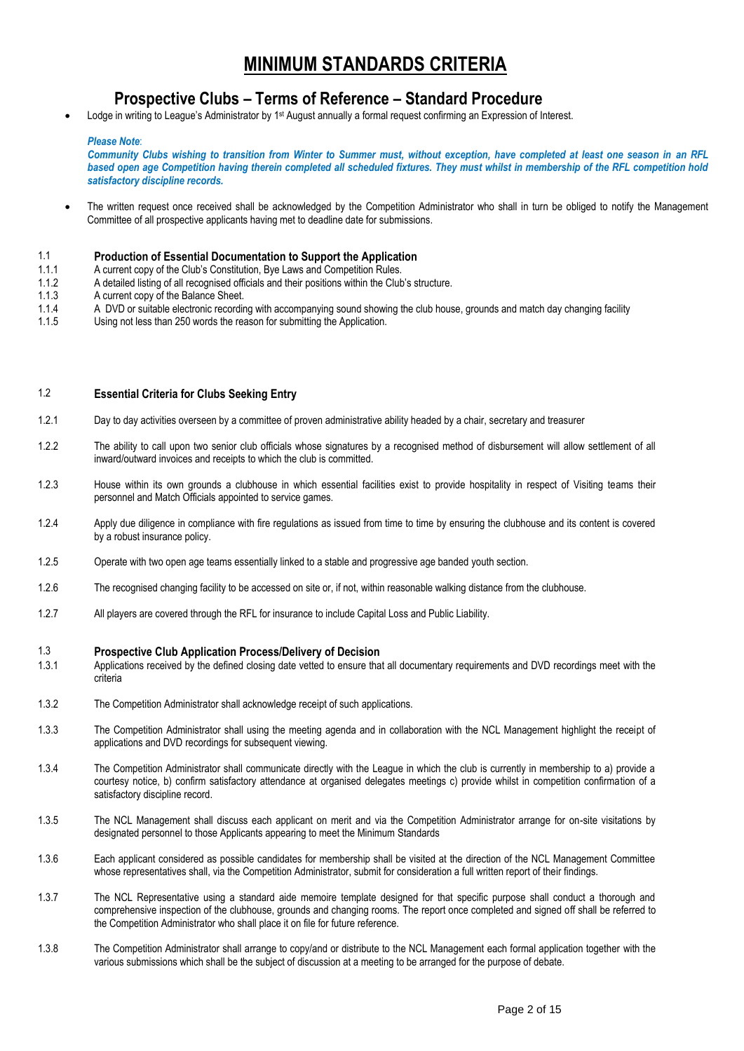## **MINIMUM STANDARDS CRITERIA**

## **Prospective Clubs – Terms of Reference – Standard Procedure**

Lodge in writing to League's Administrator by 1<sup>st</sup> August annually a formal request confirming an Expression of Interest.

#### *Please Note*:

*Community Clubs wishing to transition from Winter to Summer must, without exception, have completed at least one season in an RFL based open age Competition having therein completed all scheduled fixtures. They must whilst in membership of the RFL competition hold satisfactory discipline records.*

• The written request once received shall be acknowledged by the Competition Administrator who shall in turn be obliged to notify the Management Committee of all prospective applicants having met to deadline date for submissions.

1.1 **Production of Essential Documentation to Support the Application**

- 1.1.1 A current copy of the Club's Constitution, Bye Laws and Competition Rules.
- 1.1.2 A detailed listing of all recognised officials and their positions within the Club's structure.
- 1.1.3 A current copy of the Balance Sheet.<br>1.1.4 A DVD or suitable electronic recordir
- A DVD or suitable electronic recording with accompanying sound showing the club house, grounds and match day changing facility
- 1.1.5 Using not less than 250 words the reason for submitting the Application.

### 1.2 **Essential Criteria for Clubs Seeking Entry**

- 1.2.1 Day to day activities overseen by a committee of proven administrative ability headed by a chair, secretary and treasurer
- 1.2.2 The ability to call upon two senior club officials whose signatures by a recognised method of disbursement will allow settlement of all inward/outward invoices and receipts to which the club is committed.
- 1.2.3 House within its own grounds a clubhouse in which essential facilities exist to provide hospitality in respect of Visiting teams their personnel and Match Officials appointed to service games.
- 1.2.4 Apply due diligence in compliance with fire regulations as issued from time to time by ensuring the clubhouse and its content is covered by a robust insurance policy.
- 1.2.5 Operate with two open age teams essentially linked to a stable and progressive age banded youth section.
- 1.2.6 The recognised changing facility to be accessed on site or, if not, within reasonable walking distance from the clubhouse.
- 1.2.7 All players are covered through the RFL for insurance to include Capital Loss and Public Liability.

#### 1.3 **Prospective Club Application Process/Delivery of Decision**

- 1.3.1 Applications received by the defined closing date vetted to ensure that all documentary requirements and DVD recordings meet with the criteria
- 1.3.2 The Competition Administrator shall acknowledge receipt of such applications.
- 1.3.3 The Competition Administrator shall using the meeting agenda and in collaboration with the NCL Management highlight the receipt of applications and DVD recordings for subsequent viewing.
- 1.3.4 The Competition Administrator shall communicate directly with the League in which the club is currently in membership to a) provide a courtesy notice, b) confirm satisfactory attendance at organised delegates meetings c) provide whilst in competition confirmation of a satisfactory discipline record.
- 1.3.5 The NCL Management shall discuss each applicant on merit and via the Competition Administrator arrange for on-site visitations by designated personnel to those Applicants appearing to meet the Minimum Standards
- 1.3.6 Each applicant considered as possible candidates for membership shall be visited at the direction of the NCL Management Committee whose representatives shall, via the Competition Administrator, submit for consideration a full written report of their findings.
- 1.3.7 The NCL Representative using a standard aide memoire template designed for that specific purpose shall conduct a thorough and comprehensive inspection of the clubhouse, grounds and changing rooms. The report once completed and signed off shall be referred to the Competition Administrator who shall place it on file for future reference.
- 1.3.8 The Competition Administrator shall arrange to copy/and or distribute to the NCL Management each formal application together with the various submissions which shall be the subject of discussion at a meeting to be arranged for the purpose of debate.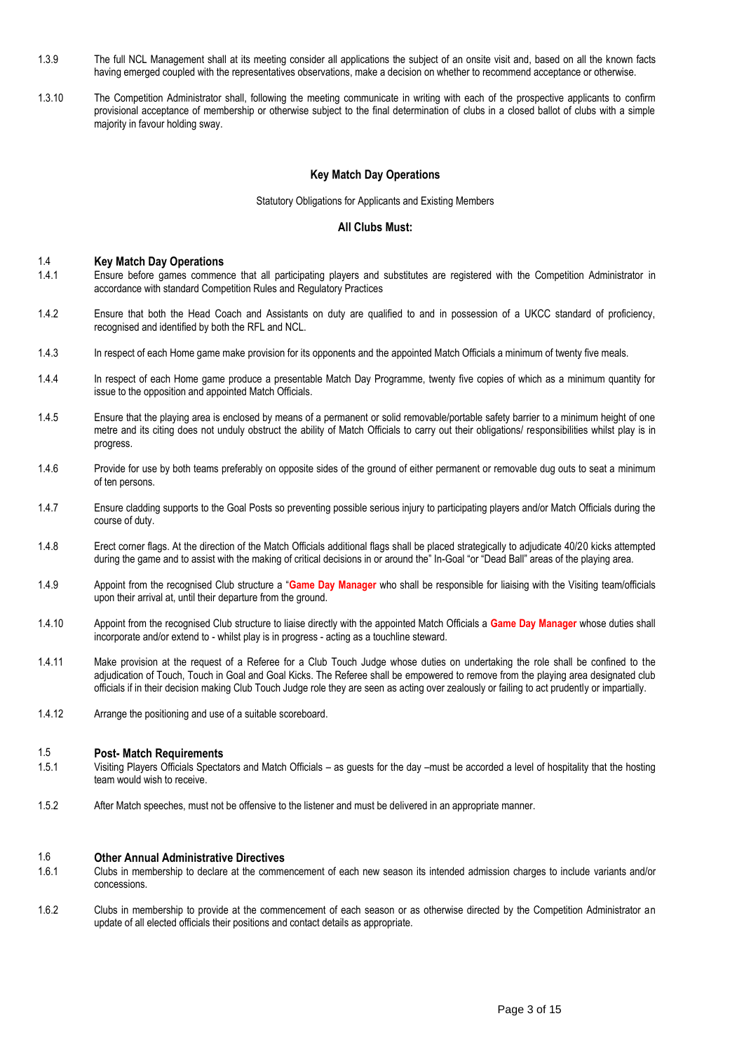- 1.3.9 The full NCL Management shall at its meeting consider all applications the subject of an onsite visit and, based on all the known facts having emerged coupled with the representatives observations, make a decision on whether to recommend acceptance or otherwise.
- 1.3.10 The Competition Administrator shall, following the meeting communicate in writing with each of the prospective applicants to confirm provisional acceptance of membership or otherwise subject to the final determination of clubs in a closed ballot of clubs with a simple majority in favour holding sway.

#### **Key Match Day Operations**

#### Statutory Obligations for Applicants and Existing Members

#### **All Clubs Must:**

#### 1.4 **Key Match Day Operations**

- 1.4.1 Ensure before games commence that all participating players and substitutes are registered with the Competition Administrator in accordance with standard Competition Rules and Regulatory Practices
- 1.4.2 Ensure that both the Head Coach and Assistants on duty are qualified to and in possession of a UKCC standard of proficiency, recognised and identified by both the RFL and NCL.
- 1.4.3 In respect of each Home game make provision for its opponents and the appointed Match Officials a minimum of twenty five meals.
- 1.4.4 In respect of each Home game produce a presentable Match Day Programme, twenty five copies of which as a minimum quantity for issue to the opposition and appointed Match Officials.
- 1.4.5 Ensure that the playing area is enclosed by means of a permanent or solid removable/portable safety barrier to a minimum height of one metre and its citing does not unduly obstruct the ability of Match Officials to carry out their obligations/ responsibilities whilst play is in progress.
- 1.4.6 Provide for use by both teams preferably on opposite sides of the ground of either permanent or removable dug outs to seat a minimum of ten persons.
- 1.4.7 Ensure cladding supports to the Goal Posts so preventing possible serious injury to participating players and/or Match Officials during the course of duty.
- 1.4.8 Erect corner flags. At the direction of the Match Officials additional flags shall be placed strategically to adjudicate 40/20 kicks attempted during the game and to assist with the making of critical decisions in or around the" In-Goal "or "Dead Ball" areas of the playing area.
- 1.4.9 Appoint from the recognised Club structure a "**Game Day Manager** who shall be responsible for liaising with the Visiting team/officials upon their arrival at, until their departure from the ground.
- 1.4.10 Appoint from the recognised Club structure to liaise directly with the appointed Match Officials a **Game Day Manager** whose duties shall incorporate and/or extend to - whilst play is in progress - acting as a touchline steward.
- 1.4.11 Make provision at the request of a Referee for a Club Touch Judge whose duties on undertaking the role shall be confined to the adjudication of Touch, Touch in Goal and Goal Kicks. The Referee shall be empowered to remove from the playing area designated club officials if in their decision making Club Touch Judge role they are seen as acting over zealously or failing to act prudently or impartially.
- 1.4.12 Arrange the positioning and use of a suitable scoreboard.

#### 1.5 **Post- Match Requirements**

- 1.5.1 Visiting Players Officials Spectators and Match Officials as guests for the day –must be accorded a level of hospitality that the hosting team would wish to receive.
- 1.5.2 After Match speeches, must not be offensive to the listener and must be delivered in an appropriate manner.

#### 1.6 **Other Annual Administrative Directives**

- 1.6.1 Clubs in membership to declare at the commencement of each new season its intended admission charges to include variants and/or concessions.
- 1.6.2 Clubs in membership to provide at the commencement of each season or as otherwise directed by the Competition Administrator an update of all elected officials their positions and contact details as appropriate.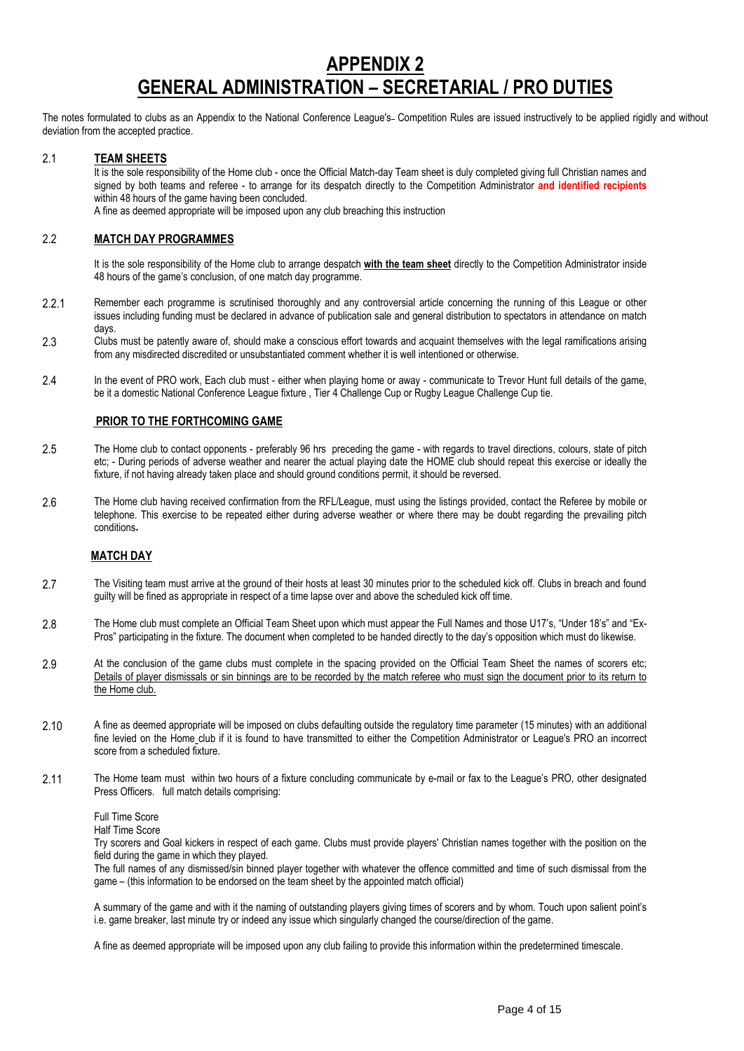# **APPENDIX 2 GENERAL ADMINISTRATION – SECRETARIAL / PRO DUTIES**

The notes formulated to clubs as an Appendix to the National Conference League's- Competition Rules are issued instructively to be applied rigidly and without deviation from the accepted practice.

#### 2.1 **TEAM SHEETS**

It is the sole responsibility of the Home club - once the Official Match-day Team sheet is duly completed giving full Christian names and signed by both teams and referee - to arrange for its despatch directly to the Competition Administrator **and identified recipients** within 48 hours of the game having been concluded.

A fine as deemed appropriate will be imposed upon any club breaching this instruction

#### 2.2 **MATCH DAY PROGRAMMES**

It is the sole responsibility of the Home club to arrange despatch **with the team sheet** directly to the Competition Administrator inside 48 hours of the game's conclusion, of one match day programme.

- 2.2.1 Remember each programme is scrutinised thoroughly and any controversial article concerning the running of this League or other issues including funding must be declared in advance of publication sale and general distribution to spectators in attendance on match days.
- 2.3 Clubs must be patently aware of, should make a conscious effort towards and acquaint themselves with the legal ramifications arising from any misdirected discredited or unsubstantiated comment whether it is well intentioned or otherwise.
- 2.4 In the event of PRO work, Each club must either when playing home or away communicate to Trevor Hunt full details of the game, be it a domestic National Conference League fixture , Tier 4 Challenge Cup or Rugby League Challenge Cup tie.

#### **PRIOR TO THE FORTHCOMING GAME**

- 2.5 The Home club to contact opponents preferably 96 hrs preceding the game with regards to travel directions, colours, state of pitch etc; - During periods of adverse weather and nearer the actual playing date the HOME club should repeat this exercise or ideally the fixture, if not having already taken place and should ground conditions permit, it should be reversed.
- 2.6 The Home club having received confirmation from the RFL/League, must using the listings provided, contact the Referee by mobile or telephone. This exercise to be repeated either during adverse weather or where there may be doubt regarding the prevailing pitch conditions.

#### **MATCH DAY**

- 2.7 The Visiting team must arrive at the ground of their hosts at least 30 minutes prior to the scheduled kick off. Clubs in breach and found guilty will be fined as appropriate in respect of a time lapse over and above the scheduled kick off time.
- 2.8 The Home club must complete an Official Team Sheet upon which must appear the Full Names and those U17's, "Under 18's" and "Ex-Pros" participating in the fixture. The document when completed to be handed directly to the day's opposition which must do likewise.
- 2.9 At the conclusion of the game clubs must complete in the spacing provided on the Official Team Sheet the names of scorers etc; Details of player dismissals or sin binnings are to be recorded by the match referee who must sign the document prior to its return to the Home club.
- 2.10 A fine as deemed appropriate will be imposed on clubs defaulting outside the regulatory time parameter (15 minutes) with an additional fine levied on the Home club if it is found to have transmitted to either the Competition Administrator or League's PRO an incorrect score from a scheduled fixture.
- 2.11 The Home team must within two hours of a fixture concluding communicate by e-mail or fax to the League's PRO, other designated Press Officers. full match details comprising:
	- Full Time Score

Half Time Score

Try scorers and Goal kickers in respect of each game. Clubs must provide players' Christian names together with the position on the field during the game in which they played.

The full names of any dismissed/sin binned player together with whatever the offence committed and time of such dismissal from the game – (this information to be endorsed on the team sheet by the appointed match official)

A summary of the game and with it the naming of outstanding players giving times of scorers and by whom. Touch upon salient point's i.e. game breaker, last minute try or indeed any issue which singularly changed the course/direction of the game.

A fine as deemed appropriate will be imposed upon any club failing to provide this information within the predetermined timescale.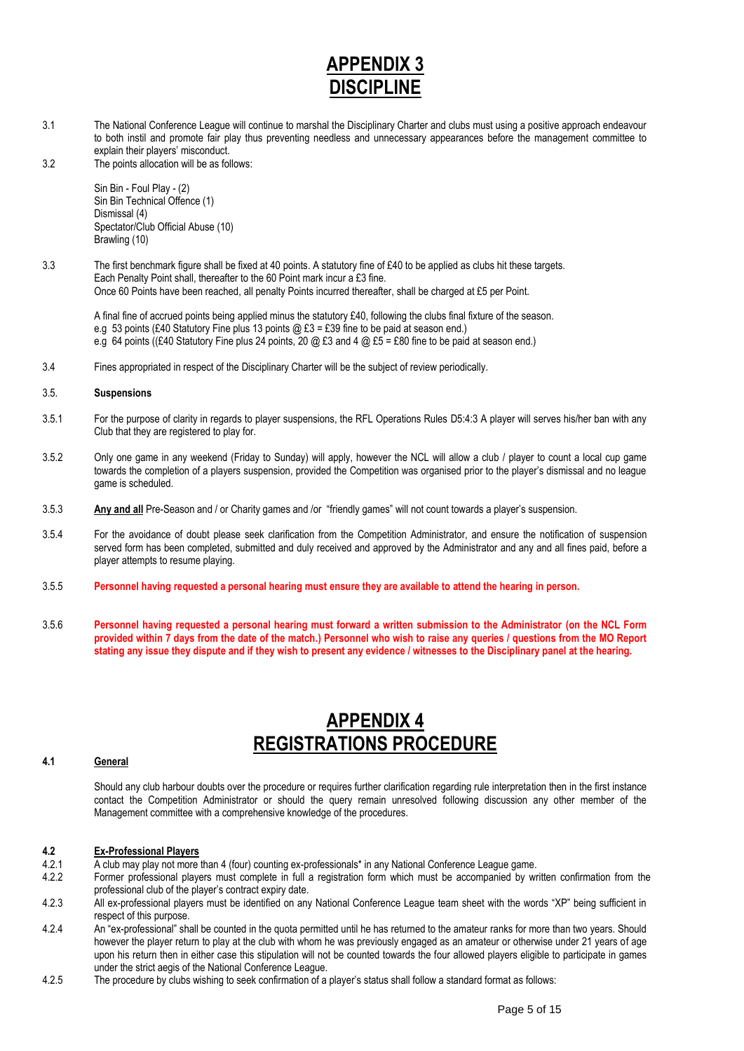# **APPENDIX 3 DISCIPLI**

- 3.1 The National Conference League will continue to marshal the Disciplinary Charter and clubs must using a positive approach endeavour to both instil and promote fair play thus preventing needless and unnecessary appearances before the management committee to explain their players' misconduct.
- 3.2 The points allocation will be as follows:

Sin Bin - Foul Play - (2) Sin Bin Technical Offence (1) Dismissal (4) Spectator/Club Official Abuse (10) Brawling (10)

3.3 The first benchmark figure shall be fixed at 40 points. A statutory fine of £40 to be applied as clubs hit these targets. Each Penalty Point shall, thereafter to the 60 Point mark incur a £3 fine. Once 60 Points have been reached, all penalty Points incurred thereafter, shall be charged at £5 per Point.

A final fine of accrued points being applied minus the statutory £40, following the clubs final fixture of the season. e.g 53 points (£40 Statutory Fine plus 13 points  $@$  £3 = £39 fine to be paid at season end.) e.g 64 points ((£40 Statutory Fine plus 24 points, 20 @ £3 and 4 @ £5 = £80 fine to be paid at season end.)

3.4 Fines appropriated in respect of the Disciplinary Charter will be the subject of review periodically.

#### 3.5. **Suspensions**

- 3.5.1 For the purpose of clarity in regards to player suspensions, the RFL Operations Rules D5:4:3 A player will serves his/her ban with any Club that they are registered to play for.
- 3.5.2 Only one game in any weekend (Friday to Sunday) will apply, however the NCL will allow a club / player to count a local cup game towards the completion of a players suspension, provided the Competition was organised prior to the player's dismissal and no league game is scheduled.
- 3.5.3 **Any and all** Pre-Season and / or Charity games and /or "friendly games" will not count towards a player's suspension.
- 3.5.4 For the avoidance of doubt please seek clarification from the Competition Administrator, and ensure the notification of suspension served form has been completed, submitted and duly received and approved by the Administrator and any and all fines paid, before a player attempts to resume playing.
- 3.5.5 **Personnel having requested a personal hearing must ensure they are available to attend the hearing in person.**
- 3.5.6 **Personnel having requested a personal hearing must forward a written submission to the Administrator (on the NCL Form provided within 7 days from the date of the match.) Personnel who wish to raise any queries / questions from the MO Report stating any issue they dispute and if they wish to present any evidence / witnesses to the Disciplinary panel at the hearing.**

# **APPENDIX 4 REGISTRATIONS PROCEDURE**

#### **4.1 General**

Should any club harbour doubts over the procedure or requires further clarification regarding rule interpretation then in the first instance contact the Competition Administrator or should the query remain unresolved following discussion any other member of the Management committee with a comprehensive knowledge of the procedures.

#### **4.2 Ex-Professional Players**

- 4.2.1 A club may play not more than 4 (four) counting ex-professionals\* in any National Conference League game.
- 4.2.2 Former professional players must complete in full a registration form which must be accompanied by written confirmation from the professional club of the player's contract expiry date.
- 4.2.3 All ex-professional players must be identified on any National Conference League team sheet with the words "XP" being sufficient in respect of this purpose.
- 4.2.4 An "ex-professional" shall be counted in the quota permitted until he has returned to the amateur ranks for more than two years. Should however the player return to play at the club with whom he was previously engaged as an amateur or otherwise under 21 years of age upon his return then in either case this stipulation will not be counted towards the four allowed players eligible to participate in games under the strict aegis of the National Conference League.
- 4.2.5 The procedure by clubs wishing to seek confirmation of a player's status shall follow a standard format as follows: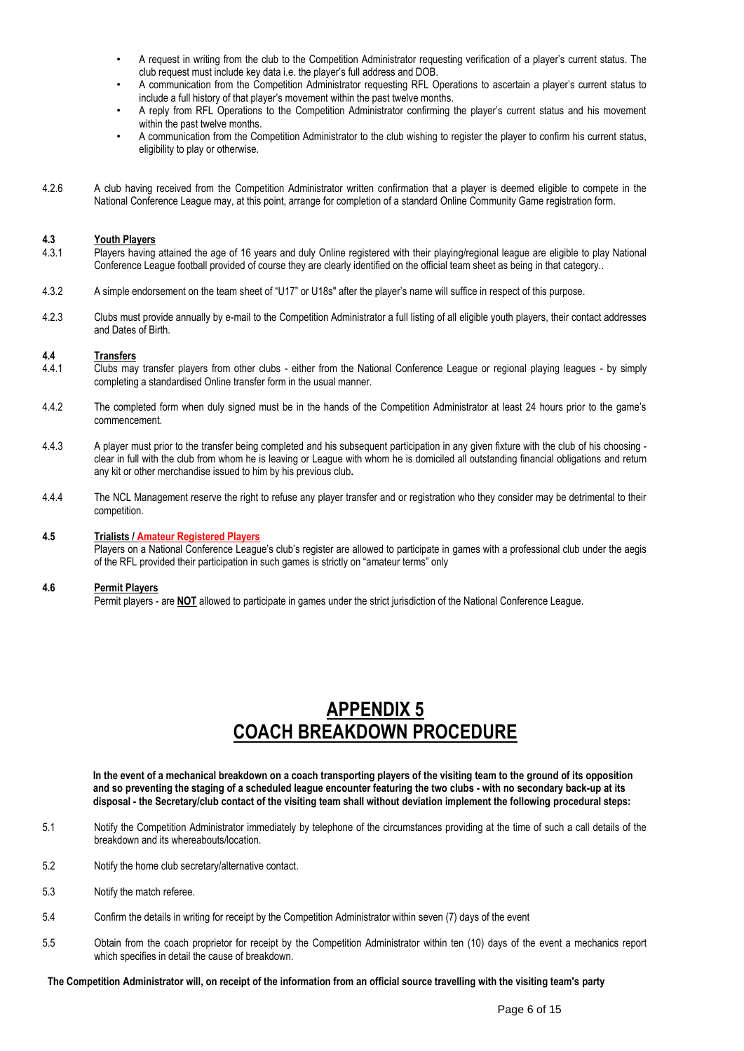- A request in writing from the club to the Competition Administrator requesting verification of a player's current status. The club request must include key data i.e. the player's full address and DOB.
- A communication from the Competition Administrator requesting RFL Operations to ascertain a player's current status to include a full history of that player's movement within the past twelve months.
- A reply from RFL Operations to the Competition Administrator confirming the player's current status and his movement within the past twelve months.
- A communication from the Competition Administrator to the club wishing to register the player to confirm his current status, eligibility to play or otherwise.
- 4.2.6 A club having received from the Competition Administrator written confirmation that a player is deemed eligible to compete in the National Conference League may, at this point, arrange for completion of a standard Online Community Game registration form.

# **4.3 Youth Players**

- Players having attained the age of 16 years and duly Online registered with their playing/regional league are eligible to play National Conference League football provided of course they are clearly identified on the official team sheet as being in that category..
- 4.3.2 A simple endorsement on the team sheet of "U17" or U18s" after the player's name will suffice in respect of this purpose.
- 4.2.3 Clubs must provide annually by e-mail to the Competition Administrator a full listing of all eligible youth players, their contact addresses and Dates of Birth.

# **4.4 Transfers**

- Clubs may transfer players from other clubs either from the National Conference League or regional playing leagues by simply completing a standardised Online transfer form in the usual manner.
- 4.4.2 The completed form when duly signed must be in the hands of the Competition Administrator at least 24 hours prior to the game's commencement.
- 4.4.3 A player must prior to the transfer being completed and his subsequent participation in any given fixture with the club of his choosing clear in full with the club from whom he is leaving or League with whom he is domiciled all outstanding financial obligations and return any kit or other merchandise issued to him by his previous club**.**
- 4.4.4 The NCL Management reserve the right to refuse any player transfer and or registration who they consider may be detrimental to their competition.

#### **4.5 Trialists / Amateur Registered Players**

Players on a National Conference League's club's register are allowed to participate in games with a professional club under the aegis of the RFL provided their participation in such games is strictly on "amateur terms" only

#### **4.6 Permit Players**

Permit players - are **NOT** allowed to participate in games under the strict jurisdiction of the National Conference League.

# **APPENDIX 5 COACH BREAKDOWN PROCEDURE**

**In the event of a mechanical breakdown on a coach transporting players of the visiting team to the ground of its opposition and so preventing the staging of a scheduled league encounter featuring the two clubs - with no secondary back-up at its disposal - the Secretary/club contact of the visiting team shall without deviation implement the following procedural steps:**

- 5.1 Notify the Competition Administrator immediately by telephone of the circumstances providing at the time of such a call details of the breakdown and its whereabouts/location.
- 5.2 Notify the home club secretary/alternative contact.
- 5.3 Notify the match referee.
- 5.4 Confirm the details in writing for receipt by the Competition Administrator within seven (7) days of the event
- 5.5 Obtain from the coach proprietor for receipt by the Competition Administrator within ten (10) days of the event a mechanics report which specifies in detail the cause of breakdown.

**The Competition Administrator will, on receipt of the information from an official source travelling with the visiting team's party**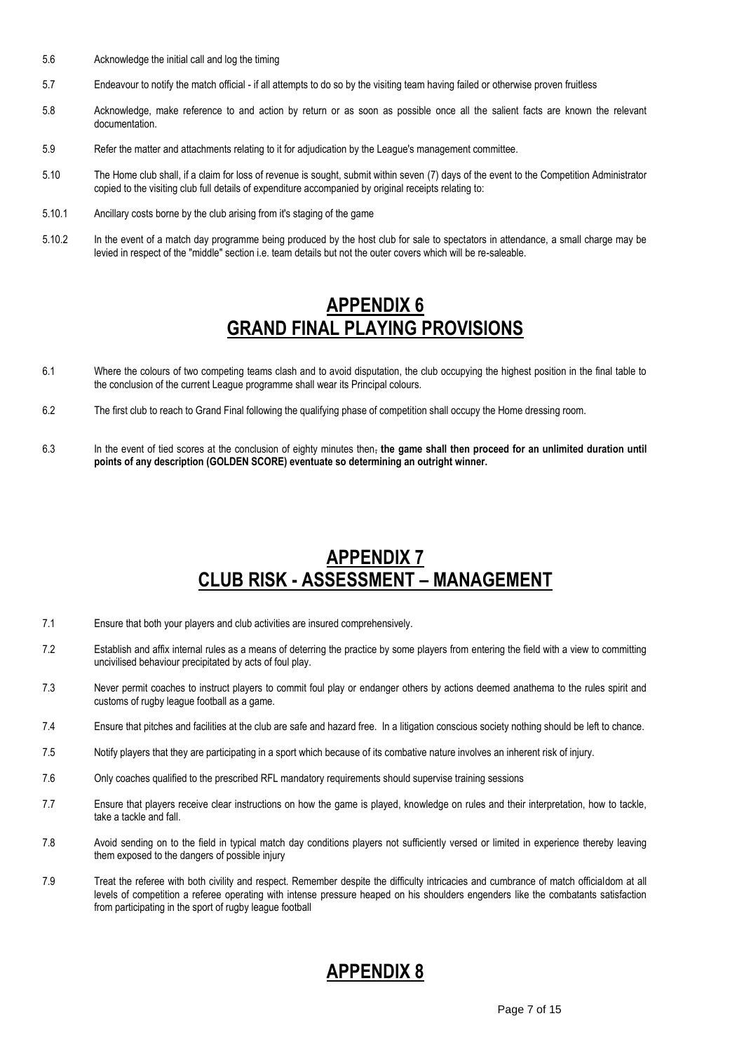- 5.6 Acknowledge the initial call and log the timing
- 5.7 Endeavour to notify the match official if all attempts to do so by the visiting team having failed or otherwise proven fruitless
- 5.8 Acknowledge, make reference to and action by return or as soon as possible once all the salient facts are known the relevant documentation.
- 5.9 Refer the matter and attachments relating to it for adjudication by the League's management committee.
- 5.10 The Home club shall, if a claim for loss of revenue is sought, submit within seven (7) days of the event to the Competition Administrator copied to the visiting club full details of expenditure accompanied by original receipts relating to:
- 5.10.1 Ancillary costs borne by the club arising from it's staging of the game
- 5.10.2 In the event of a match day programme being produced by the host club for sale to spectators in attendance, a small charge may be levied in respect of the "middle" section i.e. team details but not the outer covers which will be re-saleable.

# **APPENDIX 6 GRAND FINAL PLAYING PROVISIONS**

- 6.1 Where the colours of two competing teams clash and to avoid disputation, the club occupying the highest position in the final table to the conclusion of the current League programme shall wear its Principal colours.
- 6.2 The first club to reach to Grand Final following the qualifying phase of competition shall occupy the Home dressing room.
- 6.3 In the event of tied scores at the conclusion of eighty minutes then, **the game shall then proceed for an unlimited duration until points of any description (GOLDEN SCORE) eventuate so determining an outright winner.**

# **APPENDIX 7 CLUB RISK - ASSESSMENT – MANAGEMENT**

- 7.1 Ensure that both your players and club activities are insured comprehensively.
- 7.2 Establish and affix internal rules as a means of deterring the practice by some players from entering the field with a view to committing uncivilised behaviour precipitated by acts of foul play.
- 7.3 Never permit coaches to instruct players to commit foul play or endanger others by actions deemed anathema to the rules spirit and customs of rugby league football as a game.
- 7.4 Ensure that pitches and facilities at the club are safe and hazard free. In a litigation conscious society nothing should be left to chance.
- 7.5 Notify players that they are participating in a sport which because of its combative nature involves an inherent risk of injury.
- 7.6 Only coaches qualified to the prescribed RFL mandatory requirements should supervise training sessions
- 7.7 Ensure that players receive clear instructions on how the game is played, knowledge on rules and their interpretation, how to tackle, take a tackle and fall.
- 7.8 Avoid sending on to the field in typical match day conditions players not sufficiently versed or limited in experience thereby leaving them exposed to the dangers of possible injury
- 7.9 Treat the referee with both civility and respect. Remember despite the difficulty intricacies and cumbrance of match officialdom at all levels of competition a referee operating with intense pressure heaped on his shoulders engenders like the combatants satisfaction from participating in the sport of rugby league football

# **APPENDIX 8**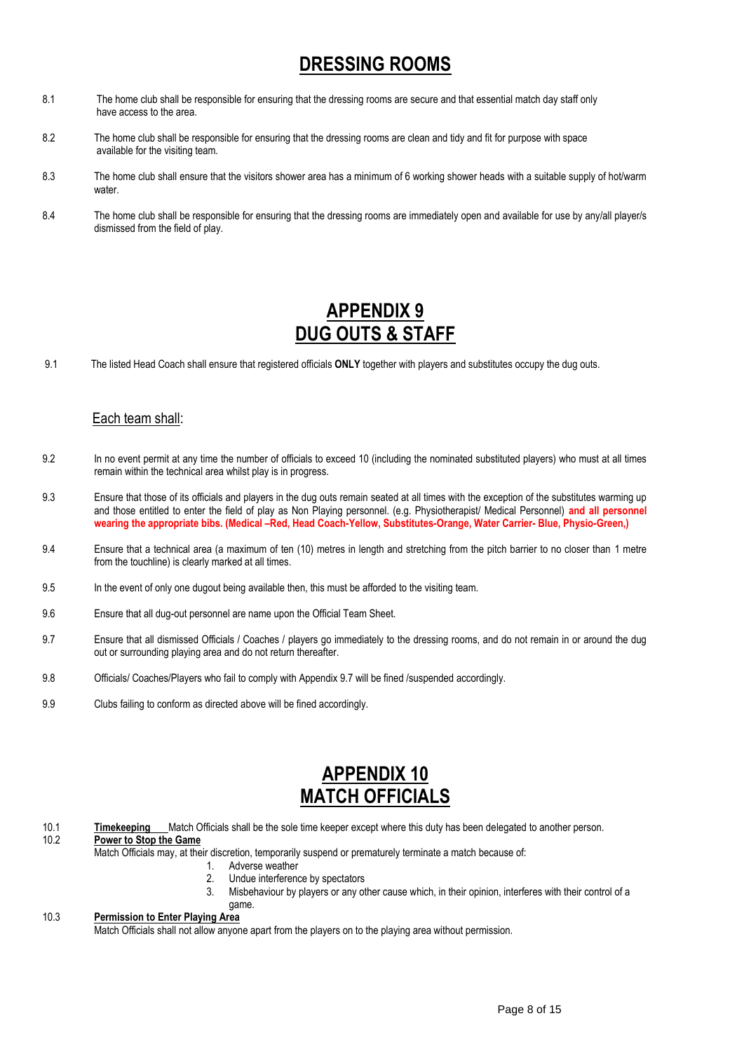# **DRESSING ROOMS**

- 8.1 The home club shall be responsible for ensuring that the dressing rooms are secure and that essential match day staff only have access to the area.
- 8.2 The home club shall be responsible for ensuring that the dressing rooms are clean and tidy and fit for purpose with space available for the visiting team.
- 8.3 The home club shall ensure that the visitors shower area has a minimum of 6 working shower heads with a suitable supply of hot/warm water.
- 8.4 The home club shall be responsible for ensuring that the dressing rooms are immediately open and available for use by any/all player/s dismissed from the field of play.

# **APPENDIX 9 DUG OUTS & STAFF**

9.1 The listed Head Coach shall ensure that registered officials **ONLY** together with players and substitutes occupy the dug outs.

## Each team shall:

- 9.2 In no event permit at any time the number of officials to exceed 10 (including the nominated substituted players) who must at all times remain within the technical area whilst play is in progress.
- 9.3 Ensure that those of its officials and players in the dug outs remain seated at all times with the exception of the substitutes warming up and those entitled to enter the field of play as Non Playing personnel. (e.g. Physiotherapist/ Medical Personnel) **and all personnel wearing the appropriate bibs. (Medical –Red, Head Coach-Yellow, Substitutes-Orange, Water Carrier- Blue, Physio-Green,)**
- 9.4 Ensure that a technical area (a maximum of ten (10) metres in length and stretching from the pitch barrier to no closer than 1 metre from the touchline) is clearly marked at all times.
- 9.5 In the event of only one dugout being available then, this must be afforded to the visiting team.
- 9.6 Ensure that all dug-out personnel are name upon the Official Team Sheet.
- 9.7 Ensure that all dismissed Officials / Coaches / players go immediately to the dressing rooms, and do not remain in or around the dug out or surrounding playing area and do not return thereafter.
- 9.8 Officials/ Coaches/Players who fail to comply with Appendix 9.7 will be fined /suspended accordingly.
- 9.9 Clubs failing to conform as directed above will be fined accordingly.

# **APPENDIX 10 MATCH OFFICIALS**

- 10.1 **Timekeeping** Match Officials shall be the sole time keeper except where this duty has been delegated to another person. 10.2 **Power to Stop the Game**
	- Match Officials may, at their discretion, temporarily suspend or prematurely terminate a match because of:
		- 1. Adverse weather
			- 2. Undue interference by spectators
			- 3. Misbehaviour by players or any other cause which, in their opinion, interferes with their control of a

#### game. 10.3 **Permission to Enter Playing Area**

Match Officials shall not allow anyone apart from the players on to the playing area without permission.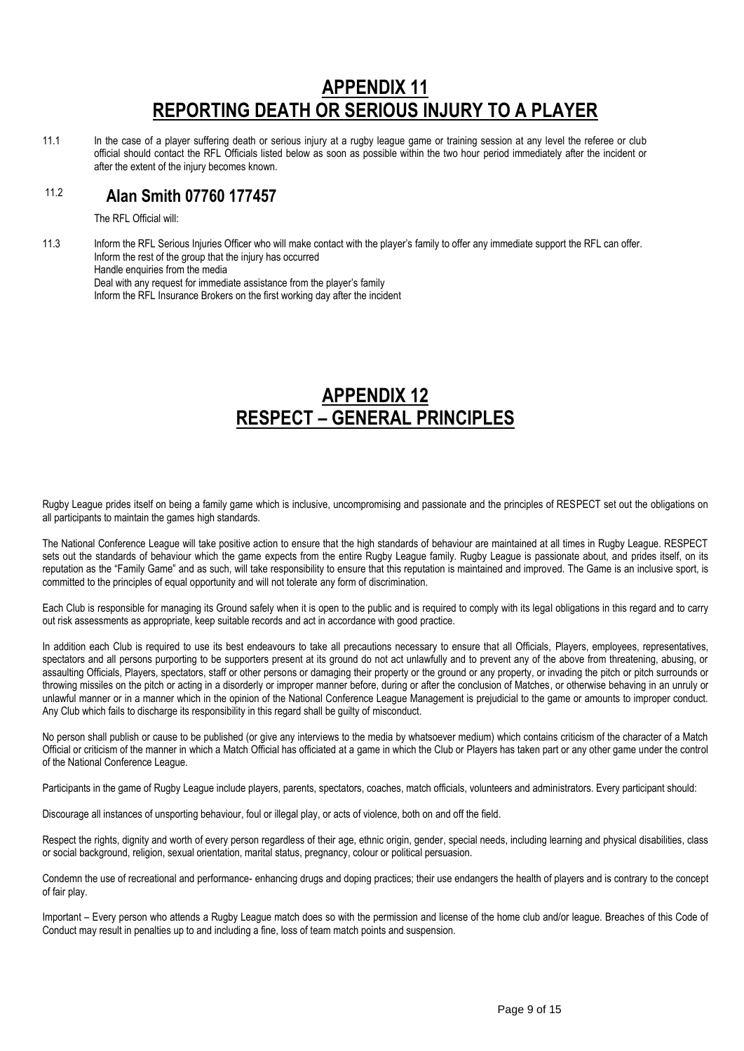# **APPENDIX 11 REPORTING DEATH OR SERIOUS INJURY TO A PLAYER**

11.1 In the case of a player suffering death or serious injury at a rugby league game or training session at any level the referee or club official should contact the RFL Officials listed below as soon as possible within the two hour period immediately after the incident or after the extent of the injury becomes known.

#### 11.2  **Alan Smith 07760 177457**

The RFL Official will:

11.3 Inform the RFL Serious Injuries Officer who will make contact with the player's family to offer any immediate support the RFL can offer. Inform the rest of the group that the injury has occurred Handle enquiries from the media Deal with any request for immediate assistance from the player's family Inform the RFL Insurance Brokers on the first working day after the incident

## **APPENDIX 12 RESPECT – GENERAL PRINCIPLES**

Rugby League prides itself on being a family game which is inclusive, uncompromising and passionate and the principles of RESPECT set out the obligations on all participants to maintain the games high standards.

The National Conference League will take positive action to ensure that the high standards of behaviour are maintained at all times in Rugby League. RESPECT sets out the standards of behaviour which the game expects from the entire Rugby League family. Rugby League is passionate about, and prides itself, on its reputation as the "Family Game" and as such, will take responsibility to ensure that this reputation is maintained and improved. The Game is an inclusive sport, is committed to the principles of equal opportunity and will not tolerate any form of discrimination.

Each Club is responsible for managing its Ground safely when it is open to the public and is required to comply with its legal obligations in this regard and to carry out risk assessments as appropriate, keep suitable records and act in accordance with good practice.

In addition each Club is required to use its best endeavours to take all precautions necessary to ensure that all Officials, Players, employees, representatives, spectators and all persons purporting to be supporters present at its ground do not act unlawfully and to prevent any of the above from threatening, abusing, or assaulting Officials, Players, spectators, staff or other persons or damaging their property or the ground or any property, or invading the pitch or pitch surrounds or throwing missiles on the pitch or acting in a disorderly or improper manner before, during or after the conclusion of Matches, or otherwise behaving in an unruly or unlawful manner or in a manner which in the opinion of the National Conference League Management is prejudicial to the game or amounts to improper conduct. Any Club which fails to discharge its responsibility in this regard shall be guilty of misconduct.

No person shall publish or cause to be published (or give any interviews to the media by whatsoever medium) which contains criticism of the character of a Match Official or criticism of the manner in which a Match Official has officiated at a game in which the Club or Players has taken part or any other game under the control of the National Conference League.

Participants in the game of Rugby League include players, parents, spectators, coaches, match officials, volunteers and administrators. Every participant should:

Discourage all instances of unsporting behaviour, foul or illegal play, or acts of violence, both on and off the field.

Respect the rights, dignity and worth of every person regardless of their age, ethnic origin, gender, special needs, including learning and physical disabilities, class or social background, religion, sexual orientation, marital status, pregnancy, colour or political persuasion.

Condemn the use of recreational and performance- enhancing drugs and doping practices; their use endangers the health of players and is contrary to the concept of fair play.

Important – Every person who attends a Rugby League match does so with the permission and license of the home club and/or league. Breaches of this Code of Conduct may result in penalties up to and including a fine, loss of team match points and suspension.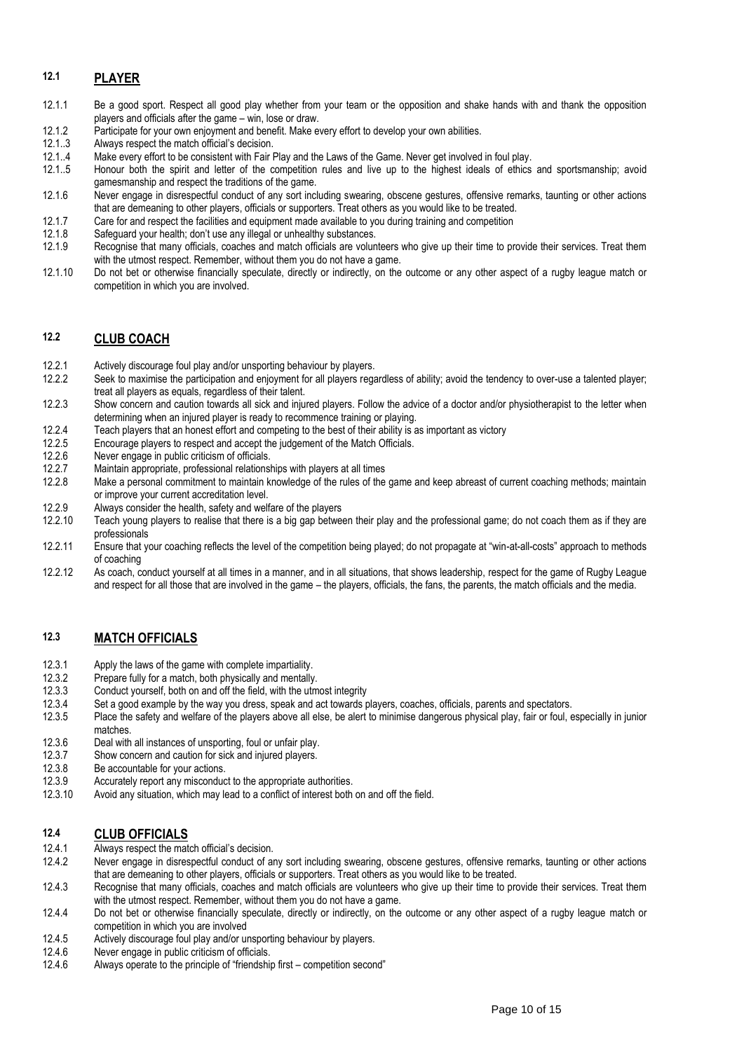## **12.1 PLAYER**

- 12.1.1 Be a good sport. Respect all good play whether from your team or the opposition and shake hands with and thank the opposition players and officials after the game – win, lose or draw.
- 12.1.2 Participate for your own enjoyment and benefit. Make every effort to develop your own abilities.<br>12.1..3 Always respect the match official's decision.
- Always respect the match official's decision.
- 12.1..4 Make every effort to be consistent with Fair Play and the Laws of the Game. Never get involved in foul play.
- 12.1..5 Honour both the spirit and letter of the competition rules and live up to the highest ideals of ethics and sportsmanship; avoid gamesmanship and respect the traditions of the game.
- 12.1.6 Never engage in disrespectful conduct of any sort including swearing, obscene gestures, offensive remarks, taunting or other actions that are demeaning to other players, officials or supporters. Treat others as you would like to be treated.
- 12.1.7 Care for and respect the facilities and equipment made available to you during training and competition
- 12.1.8 Safeguard your health; don't use any illegal or unhealthy substances.<br>12.1.9 Recognise that many officials, coaches and match officials are volun
- Recognise that many officials, coaches and match officials are volunteers who give up their time to provide their services. Treat them with the utmost respect. Remember, without them you do not have a game.
- 12.1.10 Do not bet or otherwise financially speculate, directly or indirectly, on the outcome or any other aspect of a rugby league match or competition in which you are involved.

### **12.2 CLUB COACH**

- 12.2.1 Actively discourage foul play and/or unsporting behaviour by players.<br>12.2.2 Seek to maximise the participation and eniovment for all players rega
- Seek to maximise the participation and enjoyment for all players regardless of ability; avoid the tendency to over-use a talented player; treat all players as equals, regardless of their talent.
- 12.2.3 Show concern and caution towards all sick and injured players. Follow the advice of a doctor and/or physiotherapist to the letter when determining when an injured player is ready to recommence training or playing.
- 12.2.4 Teach players that an honest effort and competing to the best of their ability is as important as victory<br>12.2.5 Encourage players to respect and accept the judgement of the Match Officials.
- Encourage players to respect and accept the judgement of the Match Officials.
- 12.2.6 Never engage in public criticism of officials.
- 12.2.7 Maintain appropriate, professional relationships with players at all times<br>12.2.8 Make a personal commitment to maintain knowledge of the rules of the
- Make a personal commitment to maintain knowledge of the rules of the game and keep abreast of current coaching methods; maintain or improve your current accreditation level.
- 12.2.9 Always consider the health, safety and welfare of the players
- 12.2.10 Teach young players to realise that there is a big gap between their play and the professional game; do not coach them as if they are professionals
- 12.2.11 Ensure that your coaching reflects the level of the competition being played; do not propagate at "win-at-all-costs" approach to methods of coaching
- 12.2.12 As coach, conduct yourself at all times in a manner, and in all situations, that shows leadership, respect for the game of Rugby League and respect for all those that are involved in the game – the players, officials, the fans, the parents, the match officials and the media.

## **12.3 MATCH OFFICIALS**

- 12.3.1 Apply the laws of the game with complete impartiality.<br>12.3.2 Prepare fully for a match, both physically and mentally
- Prepare fully for a match, both physically and mentally.
- 12.3.3 Conduct yourself, both on and off the field, with the utmost integrity
- 12.3.4 Set a good example by the way you dress, speak and act towards players, coaches, officials, parents and spectators.<br>12.3.5 Place the safety and welfare of the players above all else, be alert to minimise dangerous p
- Place the safety and welfare of the players above all else, be alert to minimise dangerous physical play, fair or foul, especially in junior matches.
- 12.3.6 Deal with all instances of unsporting, foul or unfair play.
- 12.3.7 Show concern and caution for sick and injured players.
- 12.3.8 Be accountable for your actions.
- 12.3.9 Accurately report any misconduct to the appropriate authorities.
- 12.3.10 Avoid any situation, which may lead to a conflict of interest both on and off the field.

# 12.4 **CLUB OFFICIALS**<br>12.4.1 **Always** respect the mat

- Always respect the match official's decision.
- 12.4.2 Never engage in disrespectful conduct of any sort including swearing, obscene gestures, offensive remarks, taunting or other actions that are demeaning to other players, officials or supporters. Treat others as you would like to be treated.
- 12.4.3 Recognise that many officials, coaches and match officials are volunteers who give up their time to provide their services. Treat them with the utmost respect. Remember, without them you do not have a game.
- 12.4.4 Do not bet or otherwise financially speculate, directly or indirectly, on the outcome or any other aspect of a rugby league match or competition in which you are involved
- 12.4.5 Actively discourage foul play and/or unsporting behaviour by players.<br>12.4.6 Never engage in public criticism of officials
- 12.4.6 Never engage in public criticism of officials.<br>12.4.6 Always operate to the principle of "friendshi
- Always operate to the principle of "friendship first competition second"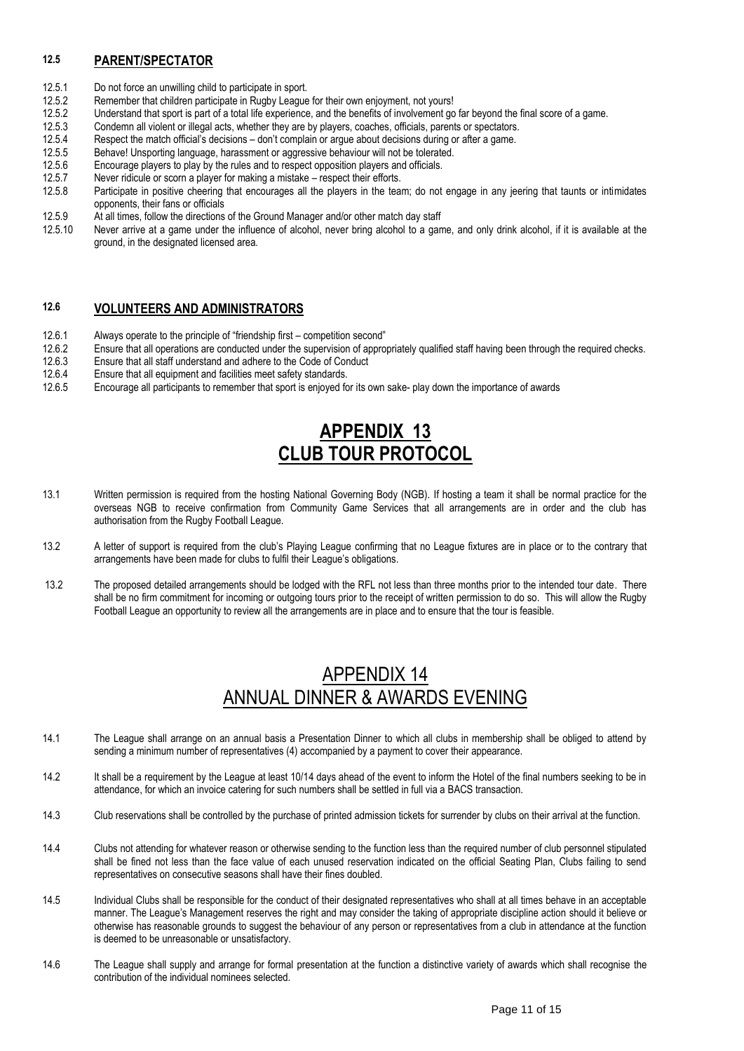## **12.5 PARENT/SPECTATOR**

- 12.5.1 Do not force an unwilling child to participate in sport.
- 12.5.2 Remember that children participate in Rugby League for their own enjoyment, not yours!
- 12.5.2 Understand that sport is part of a total life experience, and the benefits of involvement go far beyond the final score of a game.
- 12.5.3 Condemn all violent or illegal acts, whether they are by players, coaches, officials, parents or spectators.
- 12.5.4 Respect the match official's decisions don't complain or argue about decisions during or after a game.<br>12.5.5 Behave! Unsporting language, harassment or aggressive behaviour will not be tolerated.
- Behave! Unsporting language, harassment or aggressive behaviour will not be tolerated.
- 12.5.6 Encourage players to play by the rules and to respect opposition players and officials.
- 12.5.7 Never ridicule or scorn a player for making a mistake respect their efforts.<br>12.5.8 Participate in positive cheering that encourages all the players in the tea
- Participate in positive cheering that encourages all the players in the team; do not engage in any jeering that taunts or intimidates opponents, their fans or officials
- 12.5.9 At all times, follow the directions of the Ground Manager and/or other match day staff<br>12.5.10 Never arrive at a game under the influence of alcohol, never bring alcohol to a gar
- Never arrive at a game under the influence of alcohol, never bring alcohol to a game, and only drink alcohol, if it is available at the ground, in the designated licensed area.

### **12.6 VOLUNTEERS AND ADMINISTRATORS**

- 12.6.1 Always operate to the principle of "friendship first competition second"<br>12.6.2 Ensure that all operations are conducted under the supervision of appro
- 12.6.2 Ensure that all operations are conducted under the supervision of appropriately qualified staff having been through the required checks.<br>12.6.3 Ensure that all staff understand and adhere to the Code of Conduct
- Ensure that all staff understand and adhere to the Code of Conduct
- 12.6.4 Ensure that all equipment and facilities meet safety standards.
- 12.6.5 Encourage all participants to remember that sport is enjoyed for its own sake- play down the importance of awards

# **APPENDIX 13 CLUB TOUR PROTOCOL**

- 13.1 Written permission is required from the hosting National Governing Body (NGB). If hosting a team it shall be normal practice for the overseas NGB to receive confirmation from Community Game Services that all arrangements are in order and the club has authorisation from the Rugby Football League.
- 13.2 A letter of support is required from the club's Playing League confirming that no League fixtures are in place or to the contrary that arrangements have been made for clubs to fulfil their League's obligations.
- 13.2 The proposed detailed arrangements should be lodged with the RFL not less than three months prior to the intended tour date. There shall be no firm commitment for incoming or outgoing tours prior to the receipt of written permission to do so. This will allow the Rugby Football League an opportunity to review all the arrangements are in place and to ensure that the tour is feasible.

## APPENDIX 14 ANNUAL DINNER & AWARDS EVENING

- 14.1 The League shall arrange on an annual basis a Presentation Dinner to which all clubs in membership shall be obliged to attend by sending a minimum number of representatives (4) accompanied by a payment to cover their appearance.
- 14.2 It shall be a requirement by the League at least 10/14 days ahead of the event to inform the Hotel of the final numbers seeking to be in attendance, for which an invoice catering for such numbers shall be settled in full via a BACS transaction.
- 14.3 Club reservations shall be controlled by the purchase of printed admission tickets for surrender by clubs on their arrival at the function.
- 14.4 Clubs not attending for whatever reason or otherwise sending to the function less than the required number of club personnel stipulated shall be fined not less than the face value of each unused reservation indicated on the official Seating Plan, Clubs failing to send representatives on consecutive seasons shall have their fines doubled.
- 14.5 Individual Clubs shall be responsible for the conduct of their designated representatives who shall at all times behave in an acceptable manner. The League's Management reserves the right and may consider the taking of appropriate discipline action should it believe or otherwise has reasonable grounds to suggest the behaviour of any person or representatives from a club in attendance at the function is deemed to be unreasonable or unsatisfactory.
- 14.6 The League shall supply and arrange for formal presentation at the function a distinctive variety of awards which shall recognise the contribution of the individual nominees selected.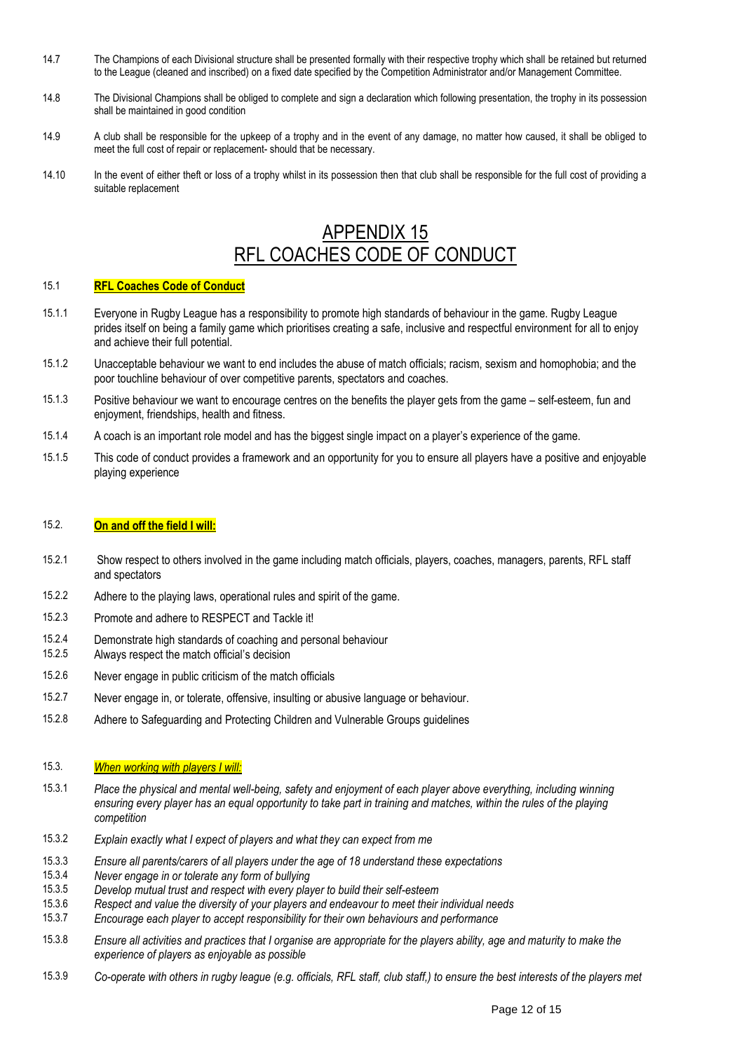- 14.7 The Champions of each Divisional structure shall be presented formally with their respective trophy which shall be retained but returned to the League (cleaned and inscribed) on a fixed date specified by the Competition Administrator and/or Management Committee.
- 14.8 The Divisional Champions shall be obliged to complete and sign a declaration which following presentation, the trophy in its possession shall be maintained in good condition
- 14.9 A club shall be responsible for the upkeep of a trophy and in the event of any damage, no matter how caused, it shall be obliged to meet the full cost of repair or replacement- should that be necessary.
- 14.10 In the event of either theft or loss of a trophy whilst in its possession then that club shall be responsible for the full cost of providing a suitable replacement

# APPENDIX 15 RFL COACHES CODE OF CONDUCT

#### 15.1 **RFL Coaches Code of Conduct**

- 15.1.1 Everyone in Rugby League has a responsibility to promote high standards of behaviour in the game. Rugby League prides itself on being a family game which prioritises creating a safe, inclusive and respectful environment for all to enjoy and achieve their full potential.
- 15.1.2 Unacceptable behaviour we want to end includes the abuse of match officials; racism, sexism and homophobia; and the poor touchline behaviour of over competitive parents, spectators and coaches.
- 15.1.3 Positive behaviour we want to encourage centres on the benefits the player gets from the game self-esteem, fun and enjoyment, friendships, health and fitness.
- 15.1.4 A coach is an important role model and has the biggest single impact on a player's experience of the game.
- 15.1.5 This code of conduct provides a framework and an opportunity for you to ensure all players have a positive and enjoyable playing experience

#### 15.2. **On and off the field I will:**

- 15.2.1 Show respect to others involved in the game including match officials, players, coaches, managers, parents, RFL staff and spectators
- 15.2.2 Adhere to the playing laws, operational rules and spirit of the game.
- 15.2.3 Promote and adhere to RESPECT and Tackle it!
- 15.2.4 Demonstrate high standards of coaching and personal behaviour<br>15.2.5 Always respect the match official's decision
- Always respect the match official's decision
- 15.2.6 Never engage in public criticism of the match officials
- 15.2.7 Never engage in, or tolerate, offensive, insulting or abusive language or behaviour.
- 15.2.8 Adhere to Safeguarding and Protecting Children and Vulnerable Groups guidelines

#### 15.3. *When working with players I will:*

- 15.3.1 *Place the physical and mental well-being, safety and enjoyment of each player above everything, including winning ensuring every player has an equal opportunity to take part in training and matches, within the rules of the playing competition*
- 15.3.2 *Explain exactly what I expect of players and what they can expect from me*
- 15.3.3 *Ensure all parents/carers of all players under the age of 18 understand these expectations*
- 15.3.4 *Never engage in or tolerate any form of bullying*
- 15.3.5 *Develop mutual trust and respect with every player to build their self-esteem*
- 15.3.6 *Respect and value the diversity of your players and endeavour to meet their individual needs*
- 15.3.7 *Encourage each player to accept responsibility for their own behaviours and performance*
- 15.3.8 *Ensure all activities and practices that I organise are appropriate for the players ability, age and maturity to make the experience of players as enjoyable as possible*
- 15.3.9 *Co-operate with others in rugby league (e.g. officials, RFL staff, club staff,) to ensure the best interests of the players met*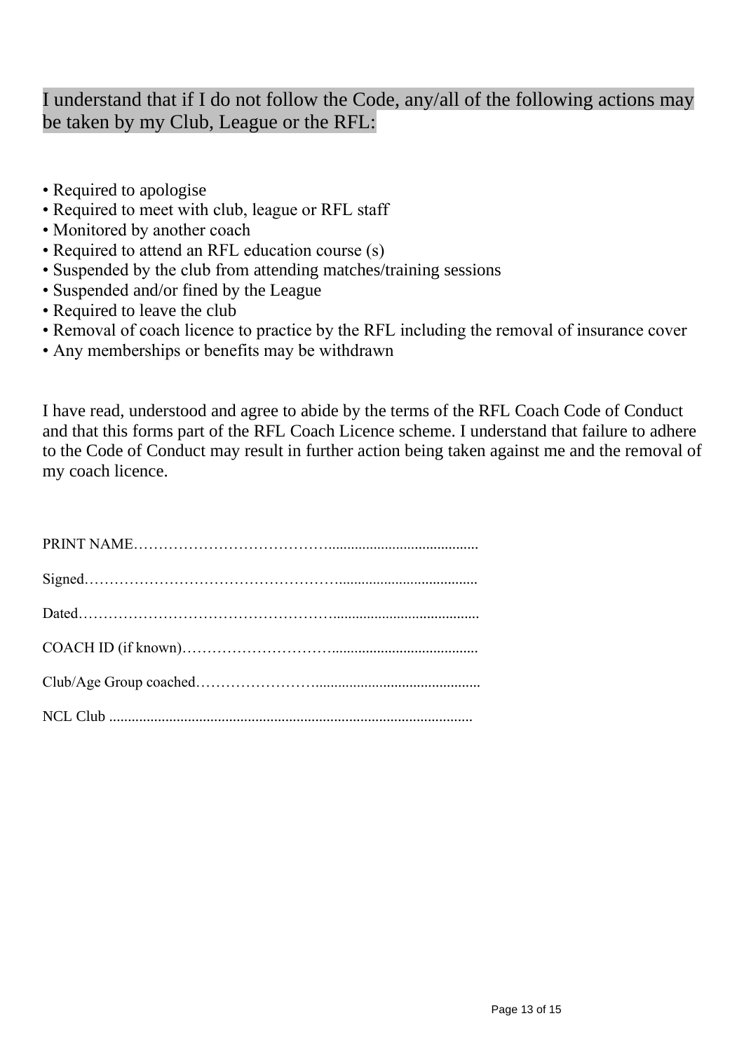# I understand that if I do not follow the Code, any/all of the following actions may be taken by my Club, League or the RFL:

- Required to apologise
- Required to meet with club, league or RFL staff
- Monitored by another coach
- Required to attend an RFL education course (s)
- Suspended by the club from attending matches/training sessions
- Suspended and/or fined by the League
- Required to leave the club
- Removal of coach licence to practice by the RFL including the removal of insurance cover
- Any memberships or benefits may be withdrawn

I have read, understood and agree to abide by the terms of the RFL Coach Code of Conduct and that this forms part of the RFL Coach Licence scheme. I understand that failure to adhere to the Code of Conduct may result in further action being taken against me and the removal of my coach licence.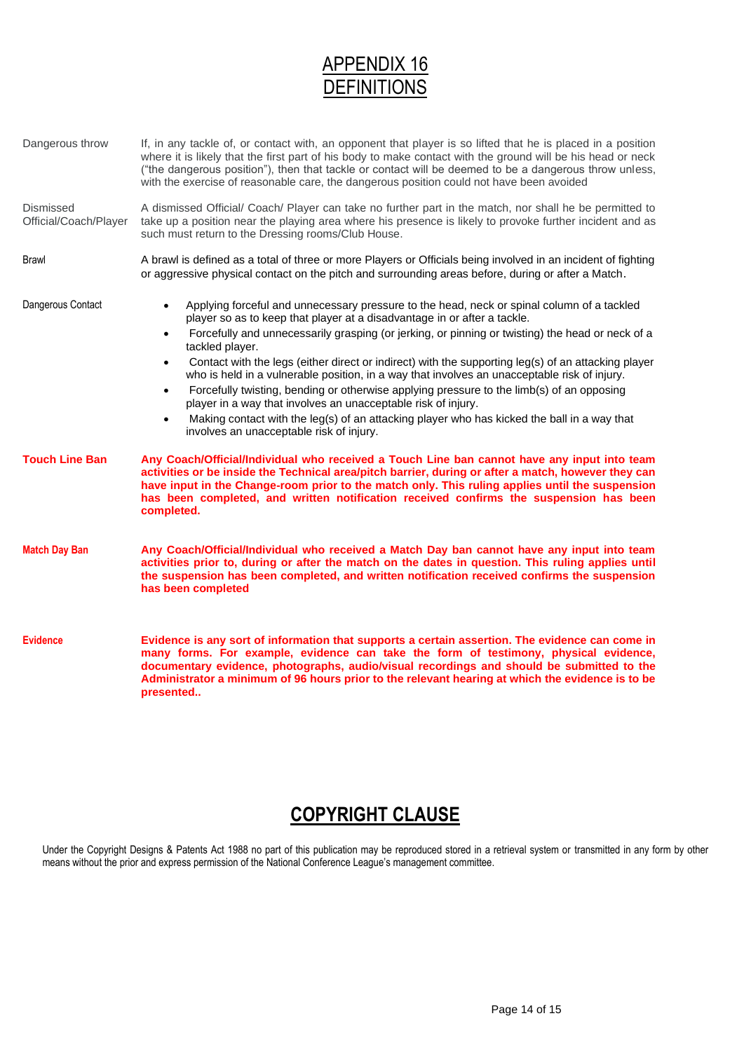# APPENDIX 16 **DEFINITIONS**

| Dangerous throw                    | If, in any tackle of, or contact with, an opponent that player is so lifted that he is placed in a position<br>where it is likely that the first part of his body to make contact with the ground will be his head or neck<br>("the dangerous position"), then that tackle or contact will be deemed to be a dangerous throw unless,<br>with the exercise of reasonable care, the dangerous position could not have been avoided                                                                                                                                                                                                                                                                                                                                                                                                                               |  |  |
|------------------------------------|----------------------------------------------------------------------------------------------------------------------------------------------------------------------------------------------------------------------------------------------------------------------------------------------------------------------------------------------------------------------------------------------------------------------------------------------------------------------------------------------------------------------------------------------------------------------------------------------------------------------------------------------------------------------------------------------------------------------------------------------------------------------------------------------------------------------------------------------------------------|--|--|
| Dismissed<br>Official/Coach/Player | A dismissed Official/ Coach/ Player can take no further part in the match, nor shall he be permitted to<br>take up a position near the playing area where his presence is likely to provoke further incident and as<br>such must return to the Dressing rooms/Club House.                                                                                                                                                                                                                                                                                                                                                                                                                                                                                                                                                                                      |  |  |
| Brawl                              | A brawl is defined as a total of three or more Players or Officials being involved in an incident of fighting<br>or aggressive physical contact on the pitch and surrounding areas before, during or after a Match.                                                                                                                                                                                                                                                                                                                                                                                                                                                                                                                                                                                                                                            |  |  |
| Dangerous Contact                  | Applying forceful and unnecessary pressure to the head, neck or spinal column of a tackled<br>$\bullet$<br>player so as to keep that player at a disadvantage in or after a tackle.<br>Forcefully and unnecessarily grasping (or jerking, or pinning or twisting) the head or neck of a<br>$\bullet$<br>tackled player.<br>Contact with the legs (either direct or indirect) with the supporting leg(s) of an attacking player<br>$\bullet$<br>who is held in a vulnerable position, in a way that involves an unacceptable risk of injury.<br>Forcefully twisting, bending or otherwise applying pressure to the limb(s) of an opposing<br>٠<br>player in a way that involves an unacceptable risk of injury.<br>Making contact with the leg(s) of an attacking player who has kicked the ball in a way that<br>٠<br>involves an unacceptable risk of injury. |  |  |
| <b>Touch Line Ban</b>              | Any Coach/Official/Individual who received a Touch Line ban cannot have any input into team<br>activities or be inside the Technical area/pitch barrier, during or after a match, however they can<br>have input in the Change-room prior to the match only. This ruling applies until the suspension<br>has been completed, and written notification received confirms the suspension has been<br>completed.                                                                                                                                                                                                                                                                                                                                                                                                                                                  |  |  |
| <b>Match Day Ban</b>               | Any Coach/Official/Individual who received a Match Day ban cannot have any input into team<br>activities prior to, during or after the match on the dates in question. This ruling applies until<br>the suspension has been completed, and written notification received confirms the suspension<br>has been completed                                                                                                                                                                                                                                                                                                                                                                                                                                                                                                                                         |  |  |
| <b>Evidence</b>                    | Evidence is any sort of information that supports a certain assertion. The evidence can come in<br>many forms. For example, evidence can take the form of testimony, physical evidence,<br>documentary evidence, photographs, audio/visual recordings and should be submitted to the<br>Administrator a minimum of 96 hours prior to the relevant hearing at which the evidence is to be<br>presented                                                                                                                                                                                                                                                                                                                                                                                                                                                          |  |  |

# **COPYRIGHT CLAUSE**

Under the Copyright Designs & Patents Act 1988 no part of this publication may be reproduced stored in a retrieval system or transmitted in any form by other means without the prior and express permission of the National Conference League's management committee.